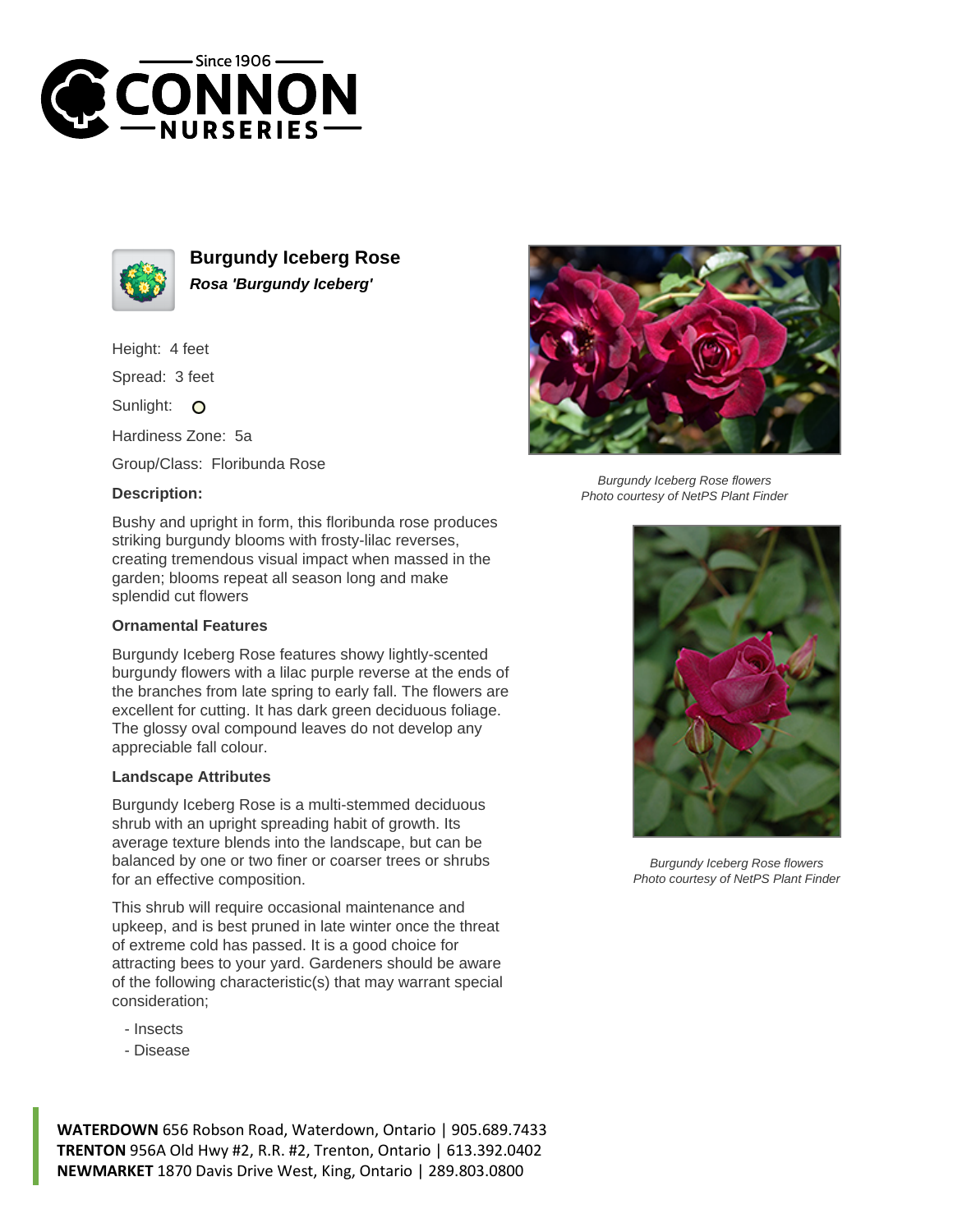



**Burgundy Iceberg Rose Rosa 'Burgundy Iceberg'**

Height: 4 feet

Spread: 3 feet

Sunlight: O

Hardiness Zone: 5a

Group/Class: Floribunda Rose

## **Description:**



## **Ornamental Features**

Burgundy Iceberg Rose features showy lightly-scented burgundy flowers with a lilac purple reverse at the ends of the branches from late spring to early fall. The flowers are excellent for cutting. It has dark green deciduous foliage. The glossy oval compound leaves do not develop any appreciable fall colour.

## **Landscape Attributes**

Burgundy Iceberg Rose is a multi-stemmed deciduous shrub with an upright spreading habit of growth. Its average texture blends into the landscape, but can be balanced by one or two finer or coarser trees or shrubs for an effective composition.

This shrub will require occasional maintenance and upkeep, and is best pruned in late winter once the threat of extreme cold has passed. It is a good choice for attracting bees to your yard. Gardeners should be aware of the following characteristic(s) that may warrant special consideration;

- Insects
- Disease



Burgundy Iceberg Rose flowers Photo courtesy of NetPS Plant Finder



Burgundy Iceberg Rose flowers Photo courtesy of NetPS Plant Finder

**WATERDOWN** 656 Robson Road, Waterdown, Ontario | 905.689.7433 **TRENTON** 956A Old Hwy #2, R.R. #2, Trenton, Ontario | 613.392.0402 **NEWMARKET** 1870 Davis Drive West, King, Ontario | 289.803.0800